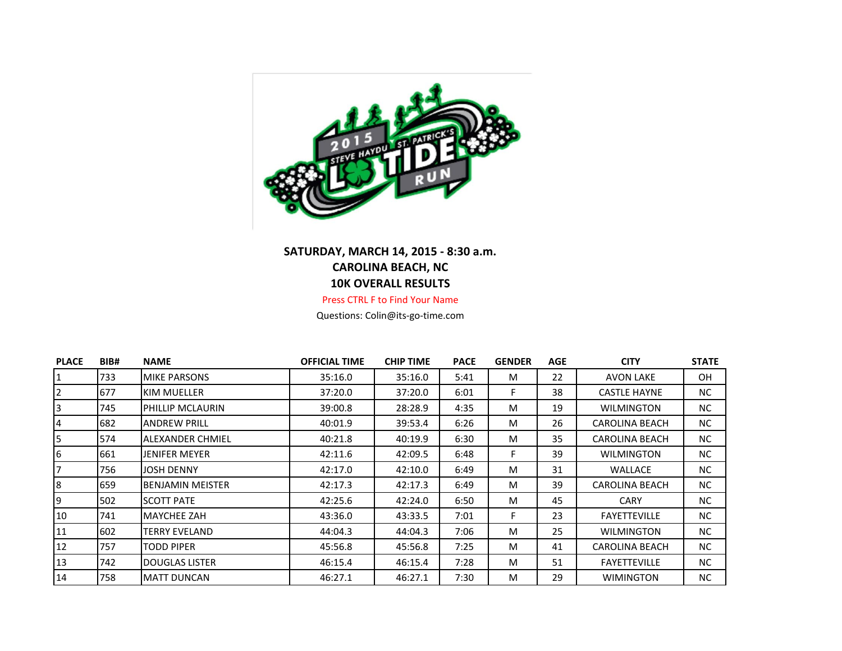

## **SATURDAY, MARCH 14, 2015 - 8:30 a.m. CAROLINA BEACH, NC 10K OVERALL RESULTS**

Press CTRL F to Find Your Name

Questions: Colin@its-go-time.com

| <b>PLACE</b>   | BIB# | <b>NAME</b>             | <b>OFFICIAL TIME</b> | <b>CHIP TIME</b> | <b>PACE</b> | <b>GENDER</b> | <b>AGE</b> | <b>CITY</b>           | <b>STATE</b> |
|----------------|------|-------------------------|----------------------|------------------|-------------|---------------|------------|-----------------------|--------------|
| 1              | 733  | <b>MIKE PARSONS</b>     | 35:16.0              | 35:16.0          | 5:41        | M             | 22         | <b>AVON LAKE</b>      | OH           |
| $\overline{2}$ | 677  | KIM MUELLER             | 37:20.0              | 37:20.0          | 6:01        |               | 38         | <b>CASTLE HAYNE</b>   | NC           |
| 3              | 745  | PHILLIP MCLAURIN        | 39:00.8              | 28:28.9          | 4:35        | M             | 19         | <b>WILMINGTON</b>     | NC           |
| $\overline{4}$ | 682  | <b>ANDREW PRILL</b>     | 40:01.9              | 39:53.4          | 6:26        | M             | 26         | <b>CAROLINA BEACH</b> | NC.          |
| 5              | 574  | <b>ALEXANDER CHMIEL</b> | 40:21.8              | 40:19.9          | 6:30        | M             | 35         | <b>CAROLINA BEACH</b> | NC.          |
| 6              | 661  | <b>JENIFER MEYER</b>    | 42:11.6              | 42:09.5          | 6:48        | F.            | 39         | <b>WILMINGTON</b>     | NC.          |
| 17             | 756  | <b>JOSH DENNY</b>       | 42:17.0              | 42:10.0          | 6:49        | M             | 31         | WALLACE               | NC.          |
| 8              | 659  | <b>BENJAMIN MEISTER</b> | 42:17.3              | 42:17.3          | 6:49        | M             | 39         | <b>CAROLINA BEACH</b> | NC.          |
| 19             | 502  | <b>SCOTT PATE</b>       | 42:25.6              | 42:24.0          | 6:50        | M             | 45         | <b>CARY</b>           | <b>NC</b>    |
| 10             | 741  | <b>MAYCHEE ZAH</b>      | 43:36.0              | 43:33.5          | 7:01        | F.            | 23         | <b>FAYETTEVILLE</b>   | NC.          |
| 11             | 602  | TERRY EVELAND           | 44:04.3              | 44:04.3          | 7:06        | M             | 25         | <b>WILMINGTON</b>     | NC.          |
| 12             | 757  | <b>TODD PIPER</b>       | 45:56.8              | 45:56.8          | 7:25        | M             | 41         | <b>CAROLINA BEACH</b> | NC.          |
| 13             | 742  | <b>DOUGLAS LISTER</b>   | 46:15.4              | 46:15.4          | 7:28        | M             | 51         | <b>FAYETTEVILLE</b>   | NC           |
| 14             | 758  | <b>MATT DUNCAN</b>      | 46:27.1              | 46:27.1          | 7:30        | м             | 29         | <b>WIMINGTON</b>      | NC.          |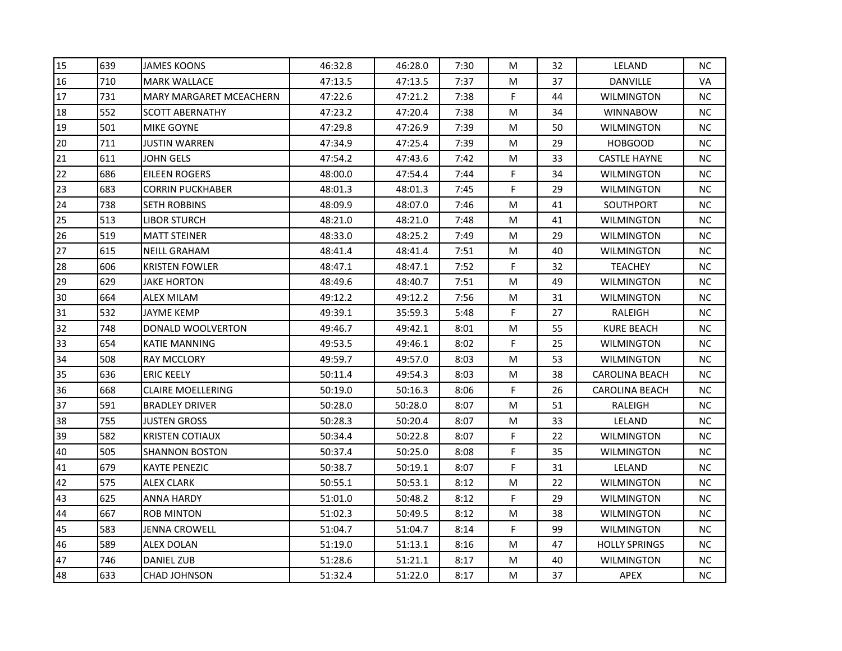| 15<br>639<br><b>JAMES KOONS</b><br>46:32.8<br>46:28.0<br>7:30<br>32<br>М<br>710<br><b>MARK WALLACE</b><br>47:13.5<br>47:13.5<br>7:37<br>37<br>16<br>М<br>F<br>17<br>731<br>47:22.6<br>7:38<br><b>MARY MARGARET MCEACHERN</b><br>47:21.2<br>44<br>18<br>552<br>7:38<br>34<br><b>SCOTT ABERNATHY</b><br>47:23.2<br>47:20.4<br>М<br>19<br>501<br>7:39<br>50<br>MIKE GOYNE<br>47:29.8<br>47:26.9<br>м<br>20<br>711<br><b>JUSTIN WARREN</b><br>47:34.9<br>47:25.4<br>7:39<br>29<br>М<br>611<br>21<br><b>JOHN GELS</b><br>47:54.2<br>47:43.6<br>7:42<br>М<br>33<br>F<br>22<br>686<br><b>EILEEN ROGERS</b><br>48:00.0<br>47:54.4<br>7:44<br>34<br>23<br>F<br>683<br>29<br><b>CORRIN PUCKHABER</b><br>48:01.3<br>48:01.3<br>7:45<br>24<br>738<br><b>SETH ROBBINS</b><br>48:09.9<br>48:07.0<br>7:46<br>М<br>41<br>25<br>513<br><b>LIBOR STURCH</b><br>48:21.0<br>48:21.0<br>7:48<br>М<br>41<br>26<br>519<br><b>MATT STEINER</b><br>48:33.0<br>48:25.2<br>7:49<br>М<br>29<br>27<br>615<br><b>NEILL GRAHAM</b><br>48:41.4<br>7:51<br>M<br>40<br>48:41.4<br>28<br>F.<br>606<br><b>KRISTEN FOWLER</b><br>48:47.1<br>48:47.1<br>7:52<br>32<br>29<br>629<br><b>JAKE HORTON</b><br>48:49.6<br>48:40.7<br>7:51<br>M<br>49<br>30<br>664<br>49:12.2<br>49:12.2<br>7:56<br>M<br>31<br>ALEX MILAM<br>31<br>532<br>F<br><b>JAYME KEMP</b><br>49:39.1<br>35:59.3<br>5:48<br>27<br>32<br>748<br>DONALD WOOLVERTON<br>49:46.7<br>8:01<br>M<br>55<br>49:42.1<br>33<br>F.<br>654<br>8:02<br>25<br><b>KATIE MANNING</b><br>49:53.5<br>49:46.1<br>34<br>508<br><b>RAY MCCLORY</b><br>49:59.7<br>49:57.0<br>8:03<br>M<br>53<br>35<br>636<br>49:54.3<br><b>ERIC KEELY</b><br>50:11.4<br>8:03<br>м<br>38<br>F<br>36<br>668<br><b>CLAIRE MOELLERING</b><br>50:19.0<br>8:06<br>50:16.3<br>26<br>37<br>591<br><b>BRADLEY DRIVER</b><br>50:28.0<br>50:28.0<br>8:07<br>М<br>51<br>38<br>755<br><b>JUSTEN GROSS</b><br>50:28.3<br>50:20.4<br>8:07<br>М<br>33<br>F<br>39<br>582<br><b>KRISTEN COTIAUX</b><br>50:34.4<br>50:22.8<br>8:07<br>22<br>40<br>F<br>505<br>50:37.4<br>50:25.0<br>8:08<br>35<br>SHANNON BOSTON<br>41<br>679<br>F<br><b>KAYTE PENEZIC</b><br>50:38.7<br>50:19.1<br>8:07<br>31<br>575<br>42<br><b>ALEX CLARK</b><br>50:55.1<br>50:53.1<br>8:12<br>M<br>22<br>F<br>43<br>625<br>51:01.0<br>29<br>ANNA HARDY<br>50:48.2<br>8:12<br>44<br>667<br>8:12<br>${\sf M}$<br>38<br><b>ROB MINTON</b><br>51:02.3<br>50:49.5<br>F.<br>45<br>583<br>99<br><b>JENNA CROWELL</b><br>51:04.7<br>51:04.7<br>8:14<br>46<br>589<br>51:19.0<br>51:13.1<br>ALEX DOLAN<br>8:16<br>М<br>47 |    |     |                   |         |         |      |   |    |                       |           |
|---------------------------------------------------------------------------------------------------------------------------------------------------------------------------------------------------------------------------------------------------------------------------------------------------------------------------------------------------------------------------------------------------------------------------------------------------------------------------------------------------------------------------------------------------------------------------------------------------------------------------------------------------------------------------------------------------------------------------------------------------------------------------------------------------------------------------------------------------------------------------------------------------------------------------------------------------------------------------------------------------------------------------------------------------------------------------------------------------------------------------------------------------------------------------------------------------------------------------------------------------------------------------------------------------------------------------------------------------------------------------------------------------------------------------------------------------------------------------------------------------------------------------------------------------------------------------------------------------------------------------------------------------------------------------------------------------------------------------------------------------------------------------------------------------------------------------------------------------------------------------------------------------------------------------------------------------------------------------------------------------------------------------------------------------------------------------------------------------------------------------------------------------------------------------------------------------------------------------------------------------------------------------------------------------------------------------------------------------------------------------------------------------------------------------------------------------------------------------------------------------------------------------------------------------|----|-----|-------------------|---------|---------|------|---|----|-----------------------|-----------|
|                                                                                                                                                                                                                                                                                                                                                                                                                                                                                                                                                                                                                                                                                                                                                                                                                                                                                                                                                                                                                                                                                                                                                                                                                                                                                                                                                                                                                                                                                                                                                                                                                                                                                                                                                                                                                                                                                                                                                                                                                                                                                                                                                                                                                                                                                                                                                                                                                                                                                                                                                   |    |     |                   |         |         |      |   |    | LELAND                | <b>NC</b> |
|                                                                                                                                                                                                                                                                                                                                                                                                                                                                                                                                                                                                                                                                                                                                                                                                                                                                                                                                                                                                                                                                                                                                                                                                                                                                                                                                                                                                                                                                                                                                                                                                                                                                                                                                                                                                                                                                                                                                                                                                                                                                                                                                                                                                                                                                                                                                                                                                                                                                                                                                                   |    |     |                   |         |         |      |   |    | <b>DANVILLE</b>       | VA        |
|                                                                                                                                                                                                                                                                                                                                                                                                                                                                                                                                                                                                                                                                                                                                                                                                                                                                                                                                                                                                                                                                                                                                                                                                                                                                                                                                                                                                                                                                                                                                                                                                                                                                                                                                                                                                                                                                                                                                                                                                                                                                                                                                                                                                                                                                                                                                                                                                                                                                                                                                                   |    |     |                   |         |         |      |   |    | <b>WILMINGTON</b>     | <b>NC</b> |
|                                                                                                                                                                                                                                                                                                                                                                                                                                                                                                                                                                                                                                                                                                                                                                                                                                                                                                                                                                                                                                                                                                                                                                                                                                                                                                                                                                                                                                                                                                                                                                                                                                                                                                                                                                                                                                                                                                                                                                                                                                                                                                                                                                                                                                                                                                                                                                                                                                                                                                                                                   |    |     |                   |         |         |      |   |    | <b>WINNABOW</b>       | NC.       |
|                                                                                                                                                                                                                                                                                                                                                                                                                                                                                                                                                                                                                                                                                                                                                                                                                                                                                                                                                                                                                                                                                                                                                                                                                                                                                                                                                                                                                                                                                                                                                                                                                                                                                                                                                                                                                                                                                                                                                                                                                                                                                                                                                                                                                                                                                                                                                                                                                                                                                                                                                   |    |     |                   |         |         |      |   |    | WILMINGTON            | <b>NC</b> |
|                                                                                                                                                                                                                                                                                                                                                                                                                                                                                                                                                                                                                                                                                                                                                                                                                                                                                                                                                                                                                                                                                                                                                                                                                                                                                                                                                                                                                                                                                                                                                                                                                                                                                                                                                                                                                                                                                                                                                                                                                                                                                                                                                                                                                                                                                                                                                                                                                                                                                                                                                   |    |     |                   |         |         |      |   |    | <b>HOBGOOD</b>        | NC.       |
|                                                                                                                                                                                                                                                                                                                                                                                                                                                                                                                                                                                                                                                                                                                                                                                                                                                                                                                                                                                                                                                                                                                                                                                                                                                                                                                                                                                                                                                                                                                                                                                                                                                                                                                                                                                                                                                                                                                                                                                                                                                                                                                                                                                                                                                                                                                                                                                                                                                                                                                                                   |    |     |                   |         |         |      |   |    | <b>CASTLE HAYNE</b>   | NC.       |
|                                                                                                                                                                                                                                                                                                                                                                                                                                                                                                                                                                                                                                                                                                                                                                                                                                                                                                                                                                                                                                                                                                                                                                                                                                                                                                                                                                                                                                                                                                                                                                                                                                                                                                                                                                                                                                                                                                                                                                                                                                                                                                                                                                                                                                                                                                                                                                                                                                                                                                                                                   |    |     |                   |         |         |      |   |    | <b>WILMINGTON</b>     | NC        |
|                                                                                                                                                                                                                                                                                                                                                                                                                                                                                                                                                                                                                                                                                                                                                                                                                                                                                                                                                                                                                                                                                                                                                                                                                                                                                                                                                                                                                                                                                                                                                                                                                                                                                                                                                                                                                                                                                                                                                                                                                                                                                                                                                                                                                                                                                                                                                                                                                                                                                                                                                   |    |     |                   |         |         |      |   |    | WILMINGTON            | NC.       |
|                                                                                                                                                                                                                                                                                                                                                                                                                                                                                                                                                                                                                                                                                                                                                                                                                                                                                                                                                                                                                                                                                                                                                                                                                                                                                                                                                                                                                                                                                                                                                                                                                                                                                                                                                                                                                                                                                                                                                                                                                                                                                                                                                                                                                                                                                                                                                                                                                                                                                                                                                   |    |     |                   |         |         |      |   |    | <b>SOUTHPORT</b>      | NC.       |
|                                                                                                                                                                                                                                                                                                                                                                                                                                                                                                                                                                                                                                                                                                                                                                                                                                                                                                                                                                                                                                                                                                                                                                                                                                                                                                                                                                                                                                                                                                                                                                                                                                                                                                                                                                                                                                                                                                                                                                                                                                                                                                                                                                                                                                                                                                                                                                                                                                                                                                                                                   |    |     |                   |         |         |      |   |    | <b>WILMINGTON</b>     | NC.       |
|                                                                                                                                                                                                                                                                                                                                                                                                                                                                                                                                                                                                                                                                                                                                                                                                                                                                                                                                                                                                                                                                                                                                                                                                                                                                                                                                                                                                                                                                                                                                                                                                                                                                                                                                                                                                                                                                                                                                                                                                                                                                                                                                                                                                                                                                                                                                                                                                                                                                                                                                                   |    |     |                   |         |         |      |   |    | WILMINGTON            | NC.       |
|                                                                                                                                                                                                                                                                                                                                                                                                                                                                                                                                                                                                                                                                                                                                                                                                                                                                                                                                                                                                                                                                                                                                                                                                                                                                                                                                                                                                                                                                                                                                                                                                                                                                                                                                                                                                                                                                                                                                                                                                                                                                                                                                                                                                                                                                                                                                                                                                                                                                                                                                                   |    |     |                   |         |         |      |   |    | WILMINGTON            | NC        |
|                                                                                                                                                                                                                                                                                                                                                                                                                                                                                                                                                                                                                                                                                                                                                                                                                                                                                                                                                                                                                                                                                                                                                                                                                                                                                                                                                                                                                                                                                                                                                                                                                                                                                                                                                                                                                                                                                                                                                                                                                                                                                                                                                                                                                                                                                                                                                                                                                                                                                                                                                   |    |     |                   |         |         |      |   |    | <b>TEACHEY</b>        | NC.       |
|                                                                                                                                                                                                                                                                                                                                                                                                                                                                                                                                                                                                                                                                                                                                                                                                                                                                                                                                                                                                                                                                                                                                                                                                                                                                                                                                                                                                                                                                                                                                                                                                                                                                                                                                                                                                                                                                                                                                                                                                                                                                                                                                                                                                                                                                                                                                                                                                                                                                                                                                                   |    |     |                   |         |         |      |   |    | WILMINGTON            | <b>NC</b> |
|                                                                                                                                                                                                                                                                                                                                                                                                                                                                                                                                                                                                                                                                                                                                                                                                                                                                                                                                                                                                                                                                                                                                                                                                                                                                                                                                                                                                                                                                                                                                                                                                                                                                                                                                                                                                                                                                                                                                                                                                                                                                                                                                                                                                                                                                                                                                                                                                                                                                                                                                                   |    |     |                   |         |         |      |   |    | <b>WILMINGTON</b>     | NC.       |
|                                                                                                                                                                                                                                                                                                                                                                                                                                                                                                                                                                                                                                                                                                                                                                                                                                                                                                                                                                                                                                                                                                                                                                                                                                                                                                                                                                                                                                                                                                                                                                                                                                                                                                                                                                                                                                                                                                                                                                                                                                                                                                                                                                                                                                                                                                                                                                                                                                                                                                                                                   |    |     |                   |         |         |      |   |    | RALEIGH               | NC.       |
|                                                                                                                                                                                                                                                                                                                                                                                                                                                                                                                                                                                                                                                                                                                                                                                                                                                                                                                                                                                                                                                                                                                                                                                                                                                                                                                                                                                                                                                                                                                                                                                                                                                                                                                                                                                                                                                                                                                                                                                                                                                                                                                                                                                                                                                                                                                                                                                                                                                                                                                                                   |    |     |                   |         |         |      |   |    | <b>KURE BEACH</b>     | NC.       |
|                                                                                                                                                                                                                                                                                                                                                                                                                                                                                                                                                                                                                                                                                                                                                                                                                                                                                                                                                                                                                                                                                                                                                                                                                                                                                                                                                                                                                                                                                                                                                                                                                                                                                                                                                                                                                                                                                                                                                                                                                                                                                                                                                                                                                                                                                                                                                                                                                                                                                                                                                   |    |     |                   |         |         |      |   |    | <b>WILMINGTON</b>     | <b>NC</b> |
|                                                                                                                                                                                                                                                                                                                                                                                                                                                                                                                                                                                                                                                                                                                                                                                                                                                                                                                                                                                                                                                                                                                                                                                                                                                                                                                                                                                                                                                                                                                                                                                                                                                                                                                                                                                                                                                                                                                                                                                                                                                                                                                                                                                                                                                                                                                                                                                                                                                                                                                                                   |    |     |                   |         |         |      |   |    | <b>WILMINGTON</b>     | NC.       |
|                                                                                                                                                                                                                                                                                                                                                                                                                                                                                                                                                                                                                                                                                                                                                                                                                                                                                                                                                                                                                                                                                                                                                                                                                                                                                                                                                                                                                                                                                                                                                                                                                                                                                                                                                                                                                                                                                                                                                                                                                                                                                                                                                                                                                                                                                                                                                                                                                                                                                                                                                   |    |     |                   |         |         |      |   |    | <b>CAROLINA BEACH</b> | NC.       |
|                                                                                                                                                                                                                                                                                                                                                                                                                                                                                                                                                                                                                                                                                                                                                                                                                                                                                                                                                                                                                                                                                                                                                                                                                                                                                                                                                                                                                                                                                                                                                                                                                                                                                                                                                                                                                                                                                                                                                                                                                                                                                                                                                                                                                                                                                                                                                                                                                                                                                                                                                   |    |     |                   |         |         |      |   |    | <b>CAROLINA BEACH</b> | NC.       |
|                                                                                                                                                                                                                                                                                                                                                                                                                                                                                                                                                                                                                                                                                                                                                                                                                                                                                                                                                                                                                                                                                                                                                                                                                                                                                                                                                                                                                                                                                                                                                                                                                                                                                                                                                                                                                                                                                                                                                                                                                                                                                                                                                                                                                                                                                                                                                                                                                                                                                                                                                   |    |     |                   |         |         |      |   |    | RALEIGH               | NC.       |
|                                                                                                                                                                                                                                                                                                                                                                                                                                                                                                                                                                                                                                                                                                                                                                                                                                                                                                                                                                                                                                                                                                                                                                                                                                                                                                                                                                                                                                                                                                                                                                                                                                                                                                                                                                                                                                                                                                                                                                                                                                                                                                                                                                                                                                                                                                                                                                                                                                                                                                                                                   |    |     |                   |         |         |      |   |    | LELAND                | NC.       |
|                                                                                                                                                                                                                                                                                                                                                                                                                                                                                                                                                                                                                                                                                                                                                                                                                                                                                                                                                                                                                                                                                                                                                                                                                                                                                                                                                                                                                                                                                                                                                                                                                                                                                                                                                                                                                                                                                                                                                                                                                                                                                                                                                                                                                                                                                                                                                                                                                                                                                                                                                   |    |     |                   |         |         |      |   |    | WILMINGTON            | NC.       |
|                                                                                                                                                                                                                                                                                                                                                                                                                                                                                                                                                                                                                                                                                                                                                                                                                                                                                                                                                                                                                                                                                                                                                                                                                                                                                                                                                                                                                                                                                                                                                                                                                                                                                                                                                                                                                                                                                                                                                                                                                                                                                                                                                                                                                                                                                                                                                                                                                                                                                                                                                   |    |     |                   |         |         |      |   |    | <b>WILMINGTON</b>     | NC.       |
|                                                                                                                                                                                                                                                                                                                                                                                                                                                                                                                                                                                                                                                                                                                                                                                                                                                                                                                                                                                                                                                                                                                                                                                                                                                                                                                                                                                                                                                                                                                                                                                                                                                                                                                                                                                                                                                                                                                                                                                                                                                                                                                                                                                                                                                                                                                                                                                                                                                                                                                                                   |    |     |                   |         |         |      |   |    | LELAND                | <b>NC</b> |
|                                                                                                                                                                                                                                                                                                                                                                                                                                                                                                                                                                                                                                                                                                                                                                                                                                                                                                                                                                                                                                                                                                                                                                                                                                                                                                                                                                                                                                                                                                                                                                                                                                                                                                                                                                                                                                                                                                                                                                                                                                                                                                                                                                                                                                                                                                                                                                                                                                                                                                                                                   |    |     |                   |         |         |      |   |    | WILMINGTON            | NC.       |
|                                                                                                                                                                                                                                                                                                                                                                                                                                                                                                                                                                                                                                                                                                                                                                                                                                                                                                                                                                                                                                                                                                                                                                                                                                                                                                                                                                                                                                                                                                                                                                                                                                                                                                                                                                                                                                                                                                                                                                                                                                                                                                                                                                                                                                                                                                                                                                                                                                                                                                                                                   |    |     |                   |         |         |      |   |    | <b>WILMINGTON</b>     | NC.       |
|                                                                                                                                                                                                                                                                                                                                                                                                                                                                                                                                                                                                                                                                                                                                                                                                                                                                                                                                                                                                                                                                                                                                                                                                                                                                                                                                                                                                                                                                                                                                                                                                                                                                                                                                                                                                                                                                                                                                                                                                                                                                                                                                                                                                                                                                                                                                                                                                                                                                                                                                                   |    |     |                   |         |         |      |   |    | <b>WILMINGTON</b>     | NC.       |
|                                                                                                                                                                                                                                                                                                                                                                                                                                                                                                                                                                                                                                                                                                                                                                                                                                                                                                                                                                                                                                                                                                                                                                                                                                                                                                                                                                                                                                                                                                                                                                                                                                                                                                                                                                                                                                                                                                                                                                                                                                                                                                                                                                                                                                                                                                                                                                                                                                                                                                                                                   |    |     |                   |         |         |      |   |    | <b>WILMINGTON</b>     | NC.       |
|                                                                                                                                                                                                                                                                                                                                                                                                                                                                                                                                                                                                                                                                                                                                                                                                                                                                                                                                                                                                                                                                                                                                                                                                                                                                                                                                                                                                                                                                                                                                                                                                                                                                                                                                                                                                                                                                                                                                                                                                                                                                                                                                                                                                                                                                                                                                                                                                                                                                                                                                                   |    |     |                   |         |         |      |   |    | <b>HOLLY SPRINGS</b>  | NC.       |
|                                                                                                                                                                                                                                                                                                                                                                                                                                                                                                                                                                                                                                                                                                                                                                                                                                                                                                                                                                                                                                                                                                                                                                                                                                                                                                                                                                                                                                                                                                                                                                                                                                                                                                                                                                                                                                                                                                                                                                                                                                                                                                                                                                                                                                                                                                                                                                                                                                                                                                                                                   | 47 | 746 | <b>DANIEL ZUB</b> | 51:28.6 | 51:21.1 | 8:17 | М | 40 | <b>WILMINGTON</b>     | NC.       |
| 48<br>633<br><b>CHAD JOHNSON</b><br>51:32.4<br>8:17<br>М<br>37<br>51:22.0                                                                                                                                                                                                                                                                                                                                                                                                                                                                                                                                                                                                                                                                                                                                                                                                                                                                                                                                                                                                                                                                                                                                                                                                                                                                                                                                                                                                                                                                                                                                                                                                                                                                                                                                                                                                                                                                                                                                                                                                                                                                                                                                                                                                                                                                                                                                                                                                                                                                         |    |     |                   |         |         |      |   |    | APEX                  | NC.       |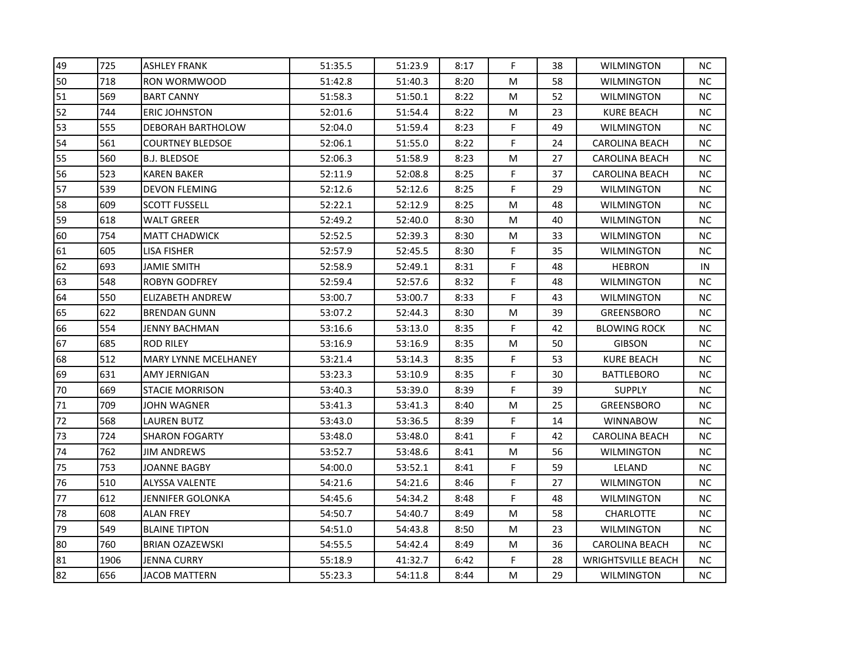| 49 | 725  | <b>ASHLEY FRANK</b>         | 51:35.5 | 51:23.9 | 8:17 | F         | 38 | WILMINGTON                | NC.       |
|----|------|-----------------------------|---------|---------|------|-----------|----|---------------------------|-----------|
| 50 | 718  | <b>RON WORMWOOD</b>         | 51:42.8 | 51:40.3 | 8:20 | M         | 58 | WILMINGTON                | NC.       |
| 51 | 569  | <b>BART CANNY</b>           | 51:58.3 | 51:50.1 | 8:22 | M         | 52 | WILMINGTON                | <b>NC</b> |
| 52 | 744  | <b>ERIC JOHNSTON</b>        | 52:01.6 | 51:54.4 | 8:22 | M         | 23 | <b>KURE BEACH</b>         | NC.       |
| 53 | 555  | <b>DEBORAH BARTHOLOW</b>    | 52:04.0 | 51:59.4 | 8:23 | F         | 49 | WILMINGTON                | NC.       |
| 54 | 561  | <b>COURTNEY BLEDSOE</b>     | 52:06.1 | 51:55.0 | 8:22 | F         | 24 | <b>CAROLINA BEACH</b>     | NC.       |
| 55 | 560  | <b>B.J. BLEDSOE</b>         | 52:06.3 | 51:58.9 | 8:23 | M         | 27 | <b>CAROLINA BEACH</b>     | NC.       |
| 56 | 523  | <b>KAREN BAKER</b>          | 52:11.9 | 52:08.8 | 8:25 | F         | 37 | <b>CAROLINA BEACH</b>     | NC.       |
| 57 | 539  | <b>DEVON FLEMING</b>        | 52:12.6 | 52:12.6 | 8:25 | F.        | 29 | <b>WILMINGTON</b>         | NC.       |
| 58 | 609  | <b>SCOTT FUSSELL</b>        | 52:22.1 | 52:12.9 | 8:25 | M         | 48 | WILMINGTON                | NC.       |
| 59 | 618  | WALT GREER                  | 52:49.2 | 52:40.0 | 8:30 | M         | 40 | WILMINGTON                | NC.       |
| 60 | 754  | <b>MATT CHADWICK</b>        | 52:52.5 | 52:39.3 | 8:30 | M         | 33 | WILMINGTON                | NC.       |
| 61 | 605  | LISA FISHER                 | 52:57.9 | 52:45.5 | 8:30 | F         | 35 | WILMINGTON                | NC        |
| 62 | 693  | <b>JAMIE SMITH</b>          | 52:58.9 | 52:49.1 | 8:31 | F.        | 48 | <b>HEBRON</b>             | IN        |
| 63 | 548  | <b>ROBYN GODFREY</b>        | 52:59.4 | 52:57.6 | 8:32 | F         | 48 | WILMINGTON                | NC.       |
| 64 | 550  | ELIZABETH ANDREW            | 53:00.7 | 53:00.7 | 8:33 | F         | 43 | WILMINGTON                | NC.       |
| 65 | 622  | <b>BRENDAN GUNN</b>         | 53:07.2 | 52:44.3 | 8:30 | M         | 39 | <b>GREENSBORO</b>         | NC.       |
| 66 | 554  | JENNY BACHMAN               | 53:16.6 | 53:13.0 | 8:35 | F         | 42 | <b>BLOWING ROCK</b>       | NC        |
| 67 | 685  | <b>ROD RILEY</b>            | 53:16.9 | 53:16.9 | 8:35 | M         | 50 | <b>GIBSON</b>             | NC.       |
| 68 | 512  | <b>MARY LYNNE MCELHANEY</b> | 53:21.4 | 53:14.3 | 8:35 | F.        | 53 | KURE BEACH                | NC.       |
| 69 | 631  | AMY JERNIGAN                | 53:23.3 | 53:10.9 | 8:35 | F         | 30 | <b>BATTLEBORO</b>         | NC.       |
| 70 | 669  | <b>STACIE MORRISON</b>      | 53:40.3 | 53:39.0 | 8:39 | F         | 39 | <b>SUPPLY</b>             | NC.       |
| 71 | 709  | <b>JOHN WAGNER</b>          | 53:41.3 | 53:41.3 | 8:40 | ${\sf M}$ | 25 | <b>GREENSBORO</b>         | <b>NC</b> |
| 72 | 568  | <b>LAUREN BUTZ</b>          | 53:43.0 | 53:36.5 | 8:39 | F.        | 14 | <b>WINNABOW</b>           | NC.       |
| 73 | 724  | <b>SHARON FOGARTY</b>       | 53:48.0 | 53:48.0 | 8:41 | F.        | 42 | <b>CAROLINA BEACH</b>     | NC.       |
| 74 | 762  | JIM ANDREWS                 | 53:52.7 | 53:48.6 | 8:41 | M         | 56 | WILMINGTON                | NC.       |
| 75 | 753  | JOANNE BAGBY                | 54:00.0 | 53:52.1 | 8:41 | F         | 59 | LELAND                    | NC.       |
| 76 | 510  | <b>ALYSSA VALENTE</b>       | 54:21.6 | 54:21.6 | 8:46 | F.        | 27 | WILMINGTON                | NC.       |
| 77 | 612  | JENNIFER GOLONKA            | 54:45.6 | 54:34.2 | 8:48 | F         | 48 | WILMINGTON                | NC.       |
| 78 | 608  | <b>ALAN FREY</b>            | 54:50.7 | 54:40.7 | 8:49 | M         | 58 | <b>CHARLOTTE</b>          | NC.       |
| 79 | 549  | <b>BLAINE TIPTON</b>        | 54:51.0 | 54:43.8 | 8:50 | M         | 23 | WILMINGTON                | NC.       |
| 80 | 760  | <b>BRIAN OZAZEWSKI</b>      | 54:55.5 | 54:42.4 | 8:49 | M         | 36 | <b>CAROLINA BEACH</b>     | NC.       |
| 81 | 1906 | JENNA CURRY                 | 55:18.9 | 41:32.7 | 6:42 | F         | 28 | <b>WRIGHTSVILLE BEACH</b> | NC.       |
| 82 | 656  | JACOB MATTERN               | 55:23.3 | 54:11.8 | 8:44 | M         | 29 | WILMINGTON                | NC.       |
|    |      |                             |         |         |      |           |    |                           |           |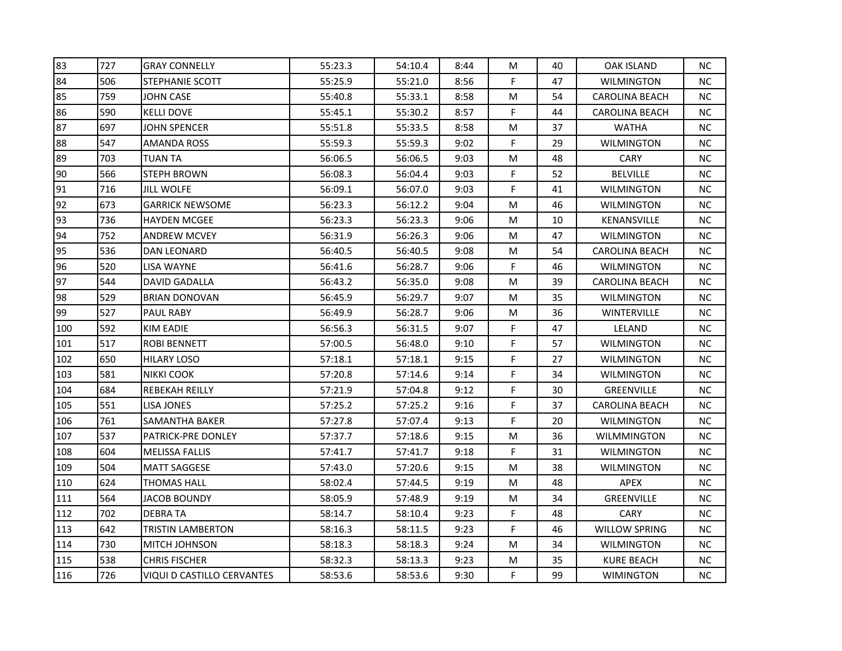| 83  | 727 | <b>GRAY CONNELLY</b>       | 55:23.3 | 54:10.4 | 8:44 | M  | 40 | <b>OAK ISLAND</b>     | NC.       |
|-----|-----|----------------------------|---------|---------|------|----|----|-----------------------|-----------|
| 84  | 506 | <b>STEPHANIE SCOTT</b>     | 55:25.9 | 55:21.0 | 8:56 | F  | 47 | WILMINGTON            | NC.       |
| 85  | 759 | <b>JOHN CASE</b>           | 55:40.8 | 55:33.1 | 8:58 | M  | 54 | <b>CAROLINA BEACH</b> | NC.       |
| 86  | 590 | <b>KELLI DOVE</b>          | 55:45.1 | 55:30.2 | 8:57 | F  | 44 | <b>CAROLINA BEACH</b> | NC.       |
| 87  | 697 | <b>JOHN SPENCER</b>        | 55:51.8 | 55:33.5 | 8:58 | M  | 37 | <b>WATHA</b>          | NC.       |
| 88  | 547 | AMANDA ROSS                | 55:59.3 | 55:59.3 | 9:02 | F  | 29 | WILMINGTON            | NC.       |
| 89  | 703 | <b>TUAN TA</b>             | 56:06.5 | 56:06.5 | 9:03 | M  | 48 | <b>CARY</b>           | NC.       |
| 90  | 566 | <b>STEPH BROWN</b>         | 56:08.3 | 56:04.4 | 9:03 | F. | 52 | <b>BELVILLE</b>       | NC        |
| 91  | 716 | <b>JILL WOLFE</b>          | 56:09.1 | 56:07.0 | 9:03 | F  | 41 | WILMINGTON            | NC.       |
| 92  | 673 | <b>GARRICK NEWSOME</b>     | 56:23.3 | 56:12.2 | 9:04 | M  | 46 | WILMINGTON            | NC.       |
| 93  | 736 | <b>HAYDEN MCGEE</b>        | 56:23.3 | 56:23.3 | 9:06 | M  | 10 | KENANSVILLE           | NC.       |
| 94  | 752 | <b>ANDREW MCVEY</b>        | 56:31.9 | 56:26.3 | 9:06 | M  | 47 | WILMINGTON            | NC.       |
| 95  | 536 | <b>DAN LEONARD</b>         | 56:40.5 | 56:40.5 | 9:08 | M  | 54 | <b>CAROLINA BEACH</b> | NC        |
| 96  | 520 | LISA WAYNE                 | 56:41.6 | 56:28.7 | 9:06 | F. | 46 | <b>WILMINGTON</b>     | NC.       |
| 97  | 544 | DAVID GADALLA              | 56:43.2 | 56:35.0 | 9:08 | M  | 39 | <b>CAROLINA BEACH</b> | NC.       |
| 98  | 529 | BRIAN DONOVAN              | 56:45.9 | 56:29.7 | 9:07 | M  | 35 | WILMINGTON            | ΝC        |
| 99  | 527 | PAUL RABY                  | 56:49.9 | 56:28.7 | 9:06 | M  | 36 | <b>WINTERVILLE</b>    | NC.       |
| 100 | 592 | <b>KIM EADIE</b>           | 56:56.3 | 56:31.5 | 9:07 | F. | 47 | LELAND                | <b>NC</b> |
| 101 | 517 | <b>ROBI BENNETT</b>        | 57:00.5 | 56:48.0 | 9:10 | F  | 57 | <b>WILMINGTON</b>     | NC.       |
| 102 | 650 | HILARY LOSO                | 57:18.1 | 57:18.1 | 9:15 | F  | 27 | WILMINGTON            | NC.       |
| 103 | 581 | NIKKI COOK                 | 57:20.8 | 57:14.6 | 9:14 | F  | 34 | WILMINGTON            | NC.       |
| 104 | 684 | <b>REBEKAH REILLY</b>      | 57:21.9 | 57:04.8 | 9:12 | F  | 30 | <b>GREENVILLE</b>     | NC.       |
| 105 | 551 | LISA JONES                 | 57:25.2 | 57:25.2 | 9:16 | F  | 37 | <b>CAROLINA BEACH</b> | NC.       |
| 106 | 761 | <b>SAMANTHA BAKER</b>      | 57:27.8 | 57:07.4 | 9:13 | F  | 20 | WILMINGTON            | NC.       |
| 107 | 537 | PATRICK-PRE DONLEY         | 57:37.7 | 57:18.6 | 9:15 | M  | 36 | WILMMINGTON           | NC.       |
| 108 | 604 | MELISSA FALLIS             | 57:41.7 | 57:41.7 | 9:18 | F. | 31 | <b>WILMINGTON</b>     | NC.       |
| 109 | 504 | <b>MATT SAGGESE</b>        | 57:43.0 | 57:20.6 | 9:15 | M  | 38 | WILMINGTON            | NC.       |
| 110 | 624 | <b>THOMAS HALL</b>         | 58:02.4 | 57:44.5 | 9:19 | M  | 48 | APEX                  | NC.       |
| 111 | 564 | JACOB BOUNDY               | 58:05.9 | 57:48.9 | 9:19 | M  | 34 | GREENVILLE            | NC.       |
| 112 | 702 | <b>DEBRATA</b>             | 58:14.7 | 58:10.4 | 9:23 | F  | 48 | CARY                  | NC.       |
| 113 | 642 | TRISTIN LAMBERTON          | 58:16.3 | 58:11.5 | 9:23 | F. | 46 | <b>WILLOW SPRING</b>  | NC.       |
| 114 | 730 | <b>MITCH JOHNSON</b>       | 58:18.3 | 58:18.3 | 9:24 | M  | 34 | WILMINGTON            | NC.       |
| 115 | 538 | <b>CHRIS FISCHER</b>       | 58:32.3 | 58:13.3 | 9:23 | M  | 35 | <b>KURE BEACH</b>     | NC.       |
| 116 | 726 | VIQUI D CASTILLO CERVANTES | 58:53.6 | 58:53.6 | 9:30 | F. | 99 | <b>WIMINGTON</b>      | NC.       |
|     |     |                            |         |         |      |    |    |                       |           |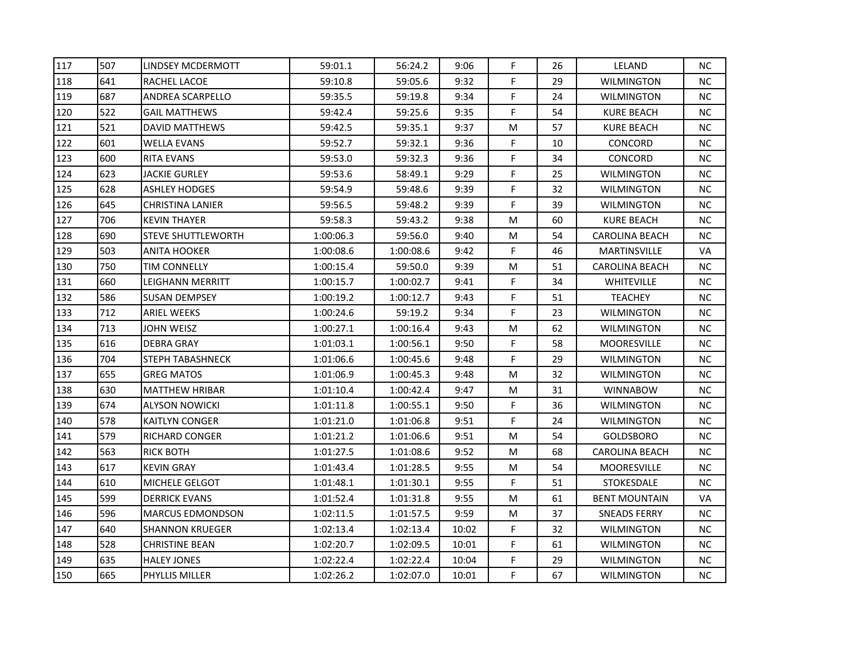| 117 | 507 | LINDSEY MCDERMOTT         | 59:01.1   | 56:24.2   | 9:06  | F. | 26 | LELAND                | NC.       |
|-----|-----|---------------------------|-----------|-----------|-------|----|----|-----------------------|-----------|
| 118 | 641 | RACHEL LACOE              | 59:10.8   | 59:05.6   | 9:32  | F  | 29 | <b>WILMINGTON</b>     | NC.       |
| 119 | 687 | <b>ANDREA SCARPELLO</b>   | 59:35.5   | 59:19.8   | 9:34  | F  | 24 | WILMINGTON            | NC        |
| 120 | 522 | <b>GAIL MATTHEWS</b>      | 59:42.4   | 59:25.6   | 9:35  | F  | 54 | <b>KURE BEACH</b>     | NC.       |
| 121 | 521 | <b>DAVID MATTHEWS</b>     | 59:42.5   | 59:35.1   | 9:37  | M  | 57 | <b>KURE BEACH</b>     | NC.       |
| 122 | 601 | <b>WELLA EVANS</b>        | 59:52.7   | 59:32.1   | 9:36  | F  | 10 | CONCORD               | NC.       |
| 123 | 600 | <b>RITA EVANS</b>         | 59:53.0   | 59:32.3   | 9:36  | F  | 34 | CONCORD               | NC.       |
| 124 | 623 | <b>JACKIE GURLEY</b>      | 59:53.6   | 58:49.1   | 9:29  | F  | 25 | WILMINGTON            | NC        |
| 125 | 628 | <b>ASHLEY HODGES</b>      | 59:54.9   | 59:48.6   | 9:39  | F  | 32 | <b>WILMINGTON</b>     | NC.       |
| 126 | 645 | <b>CHRISTINA LANIER</b>   | 59:56.5   | 59:48.2   | 9:39  | F  | 39 | WILMINGTON            | NC.       |
| 127 | 706 | <b>KEVIN THAYER</b>       | 59:58.3   | 59:43.2   | 9:38  | M  | 60 | <b>KURE BEACH</b>     | NC.       |
| 128 | 690 | <b>STEVE SHUTTLEWORTH</b> | 1:00:06.3 | 59:56.0   | 9:40  | M  | 54 | <b>CAROLINA BEACH</b> | NC.       |
| 129 | 503 | <b>ANITA HOOKER</b>       | 1:00:08.6 | 1:00:08.6 | 9:42  | F  | 46 | <b>MARTINSVILLE</b>   | <b>VA</b> |
| 130 | 750 | <b>TIM CONNELLY</b>       | 1:00:15.4 | 59:50.0   | 9:39  | M  | 51 | CAROLINA BEACH        | NC.       |
| 131 | 660 | LEIGHANN MERRITT          | 1:00:15.7 | 1:00:02.7 | 9:41  | F  | 34 | WHITEVILLE            | NC.       |
| 132 | 586 | SUSAN DEMPSEY             | 1:00:19.2 | 1:00:12.7 | 9:43  | F  | 51 | <b>TEACHEY</b>        | NC.       |
| 133 | 712 | <b>ARIEL WEEKS</b>        | 1:00:24.6 | 59:19.2   | 9:34  | F  | 23 | WILMINGTON            | NC.       |
| 134 | 713 | JOHN WEISZ                | 1:00:27.1 | 1:00:16.4 | 9:43  | M  | 62 | <b>WILMINGTON</b>     | NC.       |
| 135 | 616 | <b>DEBRA GRAY</b>         | 1:01:03.1 | 1:00:56.1 | 9:50  | F  | 58 | <b>MOORESVILLE</b>    | <b>NC</b> |
| 136 | 704 | <b>STEPH TABASHNECK</b>   | 1:01:06.6 | 1:00:45.6 | 9:48  | F  | 29 | <b>WILMINGTON</b>     | NC.       |
| 137 | 655 | <b>GREG MATOS</b>         | 1:01:06.9 | 1:00:45.3 | 9:48  | M  | 32 | WILMINGTON            | NC.       |
| 138 | 630 | <b>MATTHEW HRIBAR</b>     | 1:01:10.4 | 1:00:42.4 | 9:47  | M  | 31 | <b>WINNABOW</b>       | NC.       |
| 139 | 674 | <b>ALYSON NOWICKI</b>     | 1:01:11.8 | 1:00:55.1 | 9:50  | F  | 36 | WILMINGTON            | NC.       |
| 140 | 578 | <b>KAITLYN CONGER</b>     | 1:01:21.0 | 1:01:06.8 | 9:51  | F  | 24 | WILMINGTON            | NC.       |
| 141 | 579 | RICHARD CONGER            | 1:01:21.2 | 1:01:06.6 | 9:51  | M  | 54 | <b>GOLDSBORO</b>      | NC.       |
| 142 | 563 | <b>RICK BOTH</b>          | 1:01:27.5 | 1:01:08.6 | 9:52  | M  | 68 | <b>CAROLINA BEACH</b> | NC.       |
| 143 | 617 | <b>KEVIN GRAY</b>         | 1:01:43.4 | 1:01:28.5 | 9:55  | M  | 54 | <b>MOORESVILLE</b>    | NC.       |
| 144 | 610 | MICHELE GELGOT            | 1:01:48.1 | 1:01:30.1 | 9:55  | F  | 51 | <b>STOKESDALE</b>     | NC.       |
| 145 | 599 | <b>DERRICK EVANS</b>      | 1:01:52.4 | 1:01:31.8 | 9:55  | M  | 61 | <b>BENT MOUNTAIN</b>  | VA        |
| 146 | 596 | <b>MARCUS EDMONDSON</b>   | 1:02:11.5 | 1:01:57.5 | 9:59  | M  | 37 | <b>SNEADS FERRY</b>   | NC.       |
| 147 | 640 | <b>SHANNON KRUEGER</b>    | 1:02:13.4 | 1:02:13.4 | 10:02 | F. | 32 | <b>WILMINGTON</b>     | NC.       |
| 148 | 528 | <b>CHRISTINE BEAN</b>     | 1:02:20.7 | 1:02:09.5 | 10:01 | F  | 61 | WILMINGTON            | NC.       |
| 149 | 635 | <b>HALEY JONES</b>        | 1:02:22.4 | 1:02:22.4 | 10:04 | F  | 29 | <b>WILMINGTON</b>     | NC.       |
| 150 | 665 | <b>PHYLLIS MILLER</b>     | 1:02:26.2 | 1:02:07.0 | 10:01 | F. | 67 | WILMINGTON            | NC.       |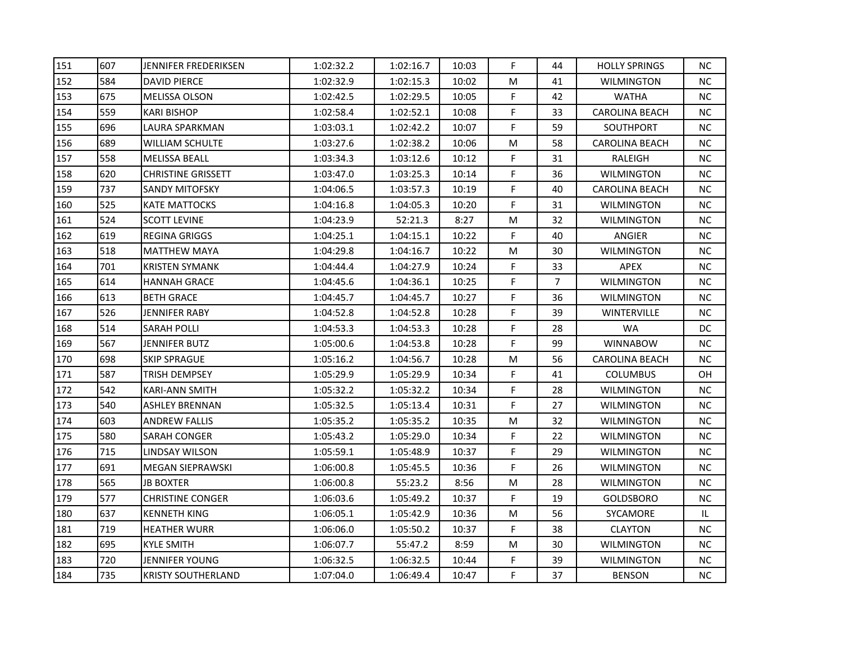| 151 | 607 | JENNIFER FREDERIKSEN      | 1:02:32.2 | 1:02:16.7 | 10:03 | F. | 44             | <b>HOLLY SPRINGS</b>  | NC.       |
|-----|-----|---------------------------|-----------|-----------|-------|----|----------------|-----------------------|-----------|
| 152 | 584 | <b>DAVID PIERCE</b>       | 1:02:32.9 | 1:02:15.3 | 10:02 | М  | 41             | <b>WILMINGTON</b>     | NC.       |
| 153 | 675 | <b>MELISSA OLSON</b>      | 1:02:42.5 | 1:02:29.5 | 10:05 | F  | 42             | <b>WATHA</b>          | NC        |
| 154 | 559 | <b>KARI BISHOP</b>        | 1:02:58.4 | 1:02:52.1 | 10:08 | F  | 33             | <b>CAROLINA BEACH</b> | NC.       |
| 155 | 696 | LAURA SPARKMAN            | 1:03:03.1 | 1:02:42.2 | 10:07 | F  | 59             | SOUTHPORT             | NC.       |
| 156 | 689 | WILLIAM SCHULTE           | 1:03:27.6 | 1:02:38.2 | 10:06 | M  | 58             | <b>CAROLINA BEACH</b> | NC.       |
| 157 | 558 | <b>MELISSA BEALL</b>      | 1:03:34.3 | 1:03:12.6 | 10:12 | F  | 31             | RALEIGH               | NC.       |
| 158 | 620 | <b>CHRISTINE GRISSETT</b> | 1:03:47.0 | 1:03:25.3 | 10:14 | F  | 36             | <b>WILMINGTON</b>     | <b>NC</b> |
| 159 | 737 | <b>SANDY MITOFSKY</b>     | 1:04:06.5 | 1:03:57.3 | 10:19 | F  | 40             | <b>CAROLINA BEACH</b> | NC.       |
| 160 | 525 | <b>KATE MATTOCKS</b>      | 1:04:16.8 | 1:04:05.3 | 10:20 | F  | 31             | <b>WILMINGTON</b>     | NC.       |
| 161 | 524 | <b>SCOTT LEVINE</b>       | 1:04:23.9 | 52:21.3   | 8:27  | M  | 32             | WILMINGTON            | NC.       |
| 162 | 619 | <b>REGINA GRIGGS</b>      | 1:04:25.1 | 1:04:15.1 | 10:22 | F  | 40             | ANGIER                | NC.       |
| 163 | 518 | <b>MATTHEW MAYA</b>       | 1:04:29.8 | 1:04:16.7 | 10:22 | M  | 30             | <b>WILMINGTON</b>     | NC        |
| 164 | 701 | <b>KRISTEN SYMANK</b>     | 1:04:44.4 | 1:04:27.9 | 10:24 | F. | 33             | APEX                  | NC.       |
| 165 | 614 | <b>HANNAH GRACE</b>       | 1:04:45.6 | 1:04:36.1 | 10:25 | F  | $\overline{7}$ | WILMINGTON            | NC.       |
| 166 | 613 | <b>BETH GRACE</b>         | 1:04:45.7 | 1:04:45.7 | 10:27 | F  | 36             | WILMINGTON            | NC.       |
| 167 | 526 | <b>JENNIFER RABY</b>      | 1:04:52.8 | 1:04:52.8 | 10:28 | F  | 39             | <b>WINTERVILLE</b>    | NC.       |
| 168 | 514 | <b>SARAH POLLI</b>        | 1:04:53.3 | 1:04:53.3 | 10:28 | F  | 28             | <b>WA</b>             | DC.       |
| 169 | 567 | JENNIFER BUTZ             | 1:05:00.6 | 1:04:53.8 | 10:28 | F  | 99             | <b>WINNABOW</b>       | <b>NC</b> |
| 170 | 698 | <b>SKIP SPRAGUE</b>       | 1:05:16.2 | 1:04:56.7 | 10:28 | M  | 56             | <b>CAROLINA BEACH</b> | NC.       |
| 171 | 587 | TRISH DEMPSEY             | 1:05:29.9 | 1:05:29.9 | 10:34 | F  | 41             | <b>COLUMBUS</b>       | OH.       |
| 172 | 542 | <b>KARI-ANN SMITH</b>     | 1:05:32.2 | 1:05:32.2 | 10:34 | F  | 28             | WILMINGTON            | NC.       |
| 173 | 540 | <b>ASHLEY BRENNAN</b>     | 1:05:32.5 | 1:05:13.4 | 10:31 | F  | 27             | WILMINGTON            | NC.       |
| 174 | 603 | <b>ANDREW FALLIS</b>      | 1:05:35.2 | 1:05:35.2 | 10:35 | M  | 32             | WILMINGTON            | NC.       |
| 175 | 580 | SARAH CONGER              | 1:05:43.2 | 1:05:29.0 | 10:34 | F  | 22             | WILMINGTON            | NC.       |
| 176 | 715 | LINDSAY WILSON            | 1:05:59.1 | 1:05:48.9 | 10:37 | F  | 29             | WILMINGTON            | NC.       |
| 177 | 691 | <b>MEGAN SIEPRAWSKI</b>   | 1:06:00.8 | 1:05:45.5 | 10:36 | F  | 26             | WILMINGTON            | NC.       |
| 178 | 565 | <b>JB BOXTER</b>          | 1:06:00.8 | 55:23.2   | 8:56  | M  | 28             | WILMINGTON            | NC.       |
| 179 | 577 | <b>CHRISTINE CONGER</b>   | 1:06:03.6 | 1:05:49.2 | 10:37 | F. | 19             | <b>GOLDSBORO</b>      | NC.       |
| 180 | 637 | <b>KENNETH KING</b>       | 1:06:05.1 | 1:05:42.9 | 10:36 | M  | 56             | SYCAMORE              | IL        |
| 181 | 719 | <b>HEATHER WURR</b>       | 1:06:06.0 | 1:05:50.2 | 10:37 | F. | 38             | <b>CLAYTON</b>        | NC.       |
| 182 | 695 | <b>KYLE SMITH</b>         | 1:06:07.7 | 55:47.2   | 8:59  | M  | 30             | WILMINGTON            | NC.       |
| 183 | 720 | JENNIFER YOUNG            | 1:06:32.5 | 1:06:32.5 | 10:44 | F  | 39             | <b>WILMINGTON</b>     | NC.       |
| 184 | 735 | <b>KRISTY SOUTHERLAND</b> | 1:07:04.0 | 1:06:49.4 | 10:47 | F. | 37             | <b>BENSON</b>         | NC.       |
|     |     |                           |           |           |       |    |                |                       |           |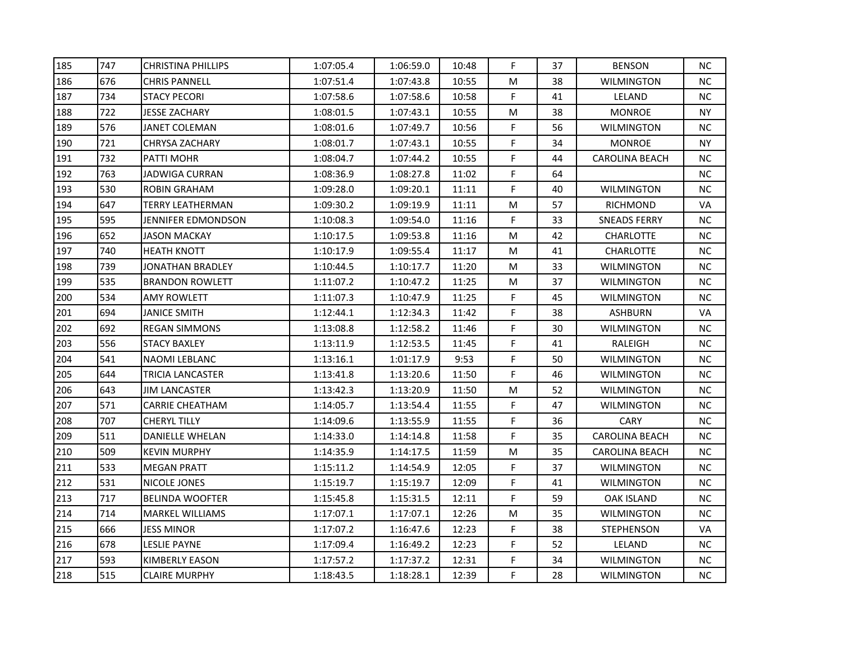| 185 | 747 | <b>CHRISTINA PHILLIPS</b> | 1:07:05.4 | 1:06:59.0 | 10:48 | F  | 37 | <b>BENSON</b>         | NC.       |
|-----|-----|---------------------------|-----------|-----------|-------|----|----|-----------------------|-----------|
| 186 | 676 | <b>CHRIS PANNELL</b>      | 1:07:51.4 | 1:07:43.8 | 10:55 | M  | 38 | <b>WILMINGTON</b>     | <b>NC</b> |
| 187 | 734 | <b>STACY PECORI</b>       | 1:07:58.6 | 1:07:58.6 | 10:58 | F. | 41 | LELAND                | <b>NC</b> |
| 188 | 722 | <b>JESSE ZACHARY</b>      | 1:08:01.5 | 1:07:43.1 | 10:55 | M  | 38 | <b>MONROE</b>         | NY.       |
| 189 | 576 | JANET COLEMAN             | 1:08:01.6 | 1:07:49.7 | 10:56 | F  | 56 | WILMINGTON            | NC.       |
| 190 | 721 | <b>CHRYSA ZACHARY</b>     | 1:08:01.7 | 1:07:43.1 | 10:55 | F  | 34 | <b>MONROE</b>         | NY.       |
| 191 | 732 | PATTI MOHR                | 1:08:04.7 | 1:07:44.2 | 10:55 | F  | 44 | <b>CAROLINA BEACH</b> | NC.       |
| 192 | 763 | JADWIGA CURRAN            | 1:08:36.9 | 1:08:27.8 | 11:02 | F  | 64 |                       | NC.       |
| 193 | 530 | <b>ROBIN GRAHAM</b>       | 1:09:28.0 | 1:09:20.1 | 11:11 | F. | 40 | WILMINGTON            | <b>NC</b> |
| 194 | 647 | <b>TERRY LEATHERMAN</b>   | 1:09:30.2 | 1:09:19.9 | 11:11 | M  | 57 | <b>RICHMOND</b>       | VA        |
| 195 | 595 | JENNIFER EDMONDSON        | 1:10:08.3 | 1:09:54.0 | 11:16 | F. | 33 | SNEADS FERRY          | NC.       |
| 196 | 652 | <b>JASON MACKAY</b>       | 1:10:17.5 | 1:09:53.8 | 11:16 | M  | 42 | CHARLOTTE             | NC.       |
| 197 | 740 | <b>HEATH KNOTT</b>        | 1:10:17.9 | 1:09:55.4 | 11:17 | M  | 41 | CHARLOTTE             | NC        |
| 198 | 739 | JONATHAN BRADLEY          | 1:10:44.5 | 1:10:17.7 | 11:20 | M  | 33 | WILMINGTON            | NC.       |
| 199 | 535 | <b>BRANDON ROWLETT</b>    | 1:11:07.2 | 1:10:47.2 | 11:25 | M  | 37 | WILMINGTON            | <b>NC</b> |
| 200 | 534 | <b>AMY ROWLETT</b>        | 1:11:07.3 | 1:10:47.9 | 11:25 | F  | 45 | WILMINGTON            | NC.       |
| 201 | 694 | <b>JANICE SMITH</b>       | 1:12:44.1 | 1:12:34.3 | 11:42 | F  | 38 | <b>ASHBURN</b>        | <b>VA</b> |
| 202 | 692 | <b>REGAN SIMMONS</b>      | 1:13:08.8 | 1:12:58.2 | 11:46 | F  | 30 | WILMINGTON            | NC        |
| 203 | 556 | <b>STACY BAXLEY</b>       | 1:13:11.9 | 1:12:53.5 | 11:45 | F  | 41 | RALEIGH               | NC.       |
| 204 | 541 | NAOMI LEBLANC             | 1:13:16.1 | 1:01:17.9 | 9:53  | F  | 50 | WILMINGTON            | NC.       |
| 205 | 644 | TRICIA LANCASTER          | 1:13:41.8 | 1:13:20.6 | 11:50 | F  | 46 | WILMINGTON            | NC.       |
| 206 | 643 | <b>JIM LANCASTER</b>      | 1:13:42.3 | 1:13:20.9 | 11:50 | M  | 52 | <b>WILMINGTON</b>     | NC.       |
| 207 | 571 | <b>CARRIE CHEATHAM</b>    | 1:14:05.7 | 1:13:54.4 | 11:55 | F  | 47 | WILMINGTON            | NC        |
| 208 | 707 | <b>CHERYL TILLY</b>       | 1:14:09.6 | 1:13:55.9 | 11:55 | F  | 36 | <b>CARY</b>           | NC.       |
| 209 | 511 | DANIELLE WHELAN           | 1:14:33.0 | 1:14:14.8 | 11:58 | F  | 35 | <b>CAROLINA BEACH</b> | NC.       |
| 210 | 509 | <b>KEVIN MURPHY</b>       | 1:14:35.9 | 1:14:17.5 | 11:59 | M  | 35 | <b>CAROLINA BEACH</b> | NC.       |
| 211 | 533 | <b>MEGAN PRATT</b>        | 1:15:11.2 | 1:14:54.9 | 12:05 | F  | 37 | WILMINGTON            | NC.       |
| 212 | 531 | NICOLE JONES              | 1:15:19.7 | 1:15:19.7 | 12:09 | F  | 41 | WILMINGTON            | NC.       |
| 213 | 717 | <b>BELINDA WOOFTER</b>    | 1:15:45.8 | 1:15:31.5 | 12:11 | F  | 59 | <b>OAK ISLAND</b>     | NC.       |
| 214 | 714 | <b>MARKEL WILLIAMS</b>    | 1:17:07.1 | 1:17:07.1 | 12:26 | M  | 35 | WILMINGTON            | NC.       |
| 215 | 666 | <b>JESS MINOR</b>         | 1:17:07.2 | 1:16:47.6 | 12:23 | F  | 38 | <b>STEPHENSON</b>     | <b>VA</b> |
| 216 | 678 | <b>LESLIE PAYNE</b>       | 1:17:09.4 | 1:16:49.2 | 12:23 | F  | 52 | LELAND                | NC.       |
| 217 | 593 | KIMBERLY EASON            | 1:17:57.2 | 1:17:37.2 | 12:31 | F  | 34 | WILMINGTON            | NC.       |
| 218 | 515 | <b>CLAIRE MURPHY</b>      | 1:18:43.5 | 1:18:28.1 | 12:39 | F. | 28 | WILMINGTON            | NC.       |
|     |     |                           |           |           |       |    |    |                       |           |